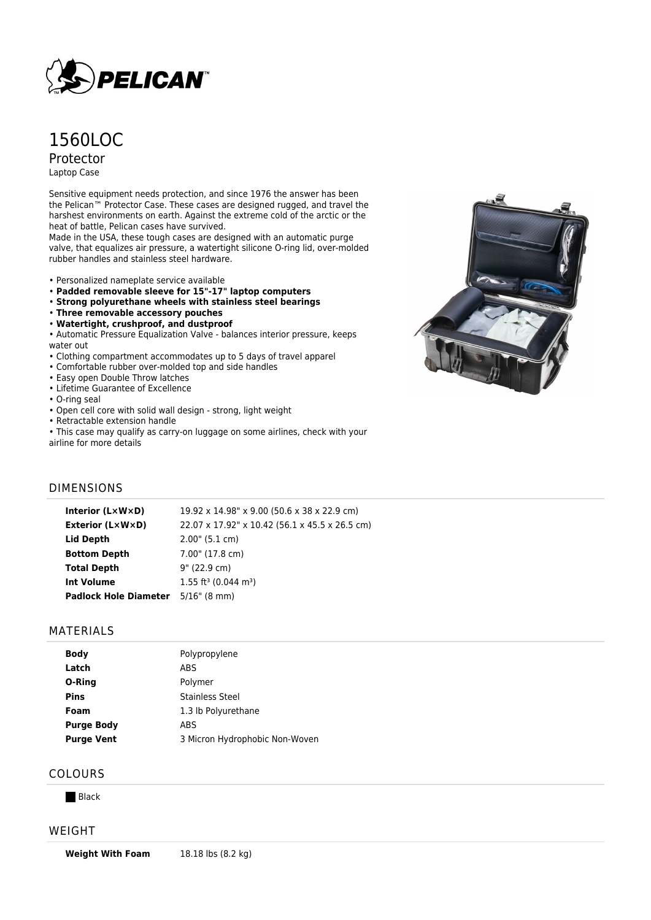

# 1560LOC Protector

Laptop Case

Sensitive equipment needs protection, and since 1976 the answer has been the Pelican™ Protector Case. These cases are designed rugged, and travel the harshest environments on earth. Against the extreme cold of the arctic or the heat of battle, Pelican cases have survived.

Made in the USA, these tough cases are designed with an automatic purge valve, that equalizes air pressure, a watertight silicone O-ring lid, over-molded rubber handles and stainless steel hardware.

- Personalized nameplate service available
- **Padded removable sleeve for 15"-17" laptop computers**
- **Strong polyurethane wheels with stainless steel bearings**
- **Three removable accessory pouches**
- **Watertight, crushproof, and dustproof**

• Automatic Pressure Equalization Valve - balances interior pressure, keeps water out

- Clothing compartment accommodates up to 5 days of travel apparel
- Comfortable rubber over-molded top and side handles
- Easy open Double Throw latches
- Lifetime Guarantee of Excellence
- O-ring seal
- Open cell core with solid wall design strong, light weight
- Retractable extension handle
- This case may qualify as carry-on luggage on some airlines, check with your
- airline for more details



### DIMENSIONS

| Interior (LxWxD)                          | 19.92 x 14.98" x 9.00 (50.6 x 38 x 22.9 cm)    |
|-------------------------------------------|------------------------------------------------|
| <b>Exterior (L×W×D)</b>                   | 22.07 x 17.92" x 10.42 (56.1 x 45.5 x 26.5 cm) |
| Lid Depth                                 | 2.00" (5.1 cm)                                 |
| <b>Bottom Depth</b>                       | 7.00" (17.8 cm)                                |
| <b>Total Depth</b>                        | 9" (22.9 cm)                                   |
| <b>Int Volume</b>                         | $1.55$ ft <sup>3</sup> (0.044 m <sup>3</sup> ) |
| <b>Padlock Hole Diameter</b> 5/16" (8 mm) |                                                |

#### MATERIALS

| <b>Body</b>       | Polypropylene                  |
|-------------------|--------------------------------|
| Latch             | ABS                            |
| O-Ring            | Polymer                        |
| <b>Pins</b>       | Stainless Steel                |
| Foam              | 1.3 lb Polyurethane            |
| <b>Purge Body</b> | ABS                            |
| <b>Purge Vent</b> | 3 Micron Hydrophobic Non-Woven |
|                   |                                |

# COLOURS

**Black** 

#### WEIGHT